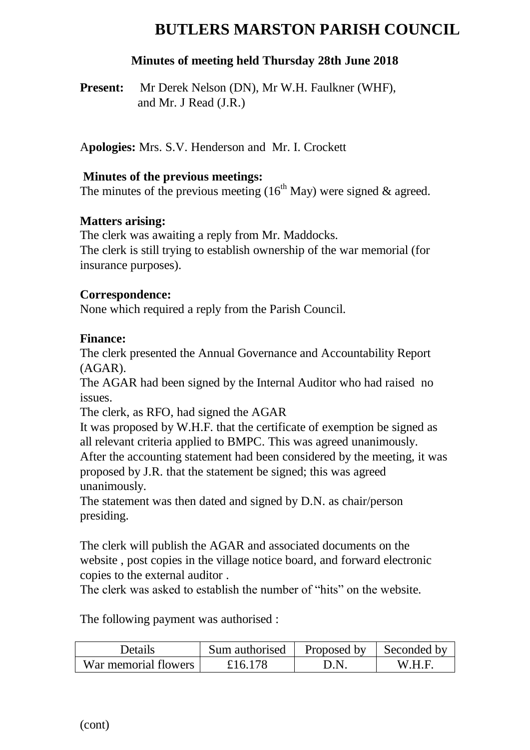# **BUTLERS MARSTON PARISH COUNCIL**

### **Minutes of meeting held Thursday 28th June 2018**

**Present:** Mr Derek Nelson (DN), Mr W.H. Faulkner (WHF), and Mr. J Read (J.R.)

A**pologies:** Mrs. S.V. Henderson and Mr. I. Crockett

#### **Minutes of the previous meetings:**

The minutes of the previous meeting  $(16<sup>th</sup>$  May) were signed & agreed.

#### **Matters arising:**

The clerk was awaiting a reply from Mr. Maddocks. The clerk is still trying to establish ownership of the war memorial (for insurance purposes).

#### **Correspondence:**

None which required a reply from the Parish Council.

#### **Finance:**

The clerk presented the Annual Governance and Accountability Report (AGAR).

The AGAR had been signed by the Internal Auditor who had raised no issues.

The clerk, as RFO, had signed the AGAR

It was proposed by W.H.F. that the certificate of exemption be signed as all relevant criteria applied to BMPC. This was agreed unanimously. After the accounting statement had been considered by the meeting, it was proposed by J.R. that the statement be signed; this was agreed unanimously.

The statement was then dated and signed by D.N. as chair/person presiding.

The clerk will publish the AGAR and associated documents on the website , post copies in the village notice board, and forward electronic copies to the external auditor .

The clerk was asked to establish the number of "hits" on the website.

The following payment was authorised :

| Details              | Sum authorised | Proposed by | Seconded by |
|----------------------|----------------|-------------|-------------|
| War memorial flowers | £16.178        |             | W H F       |